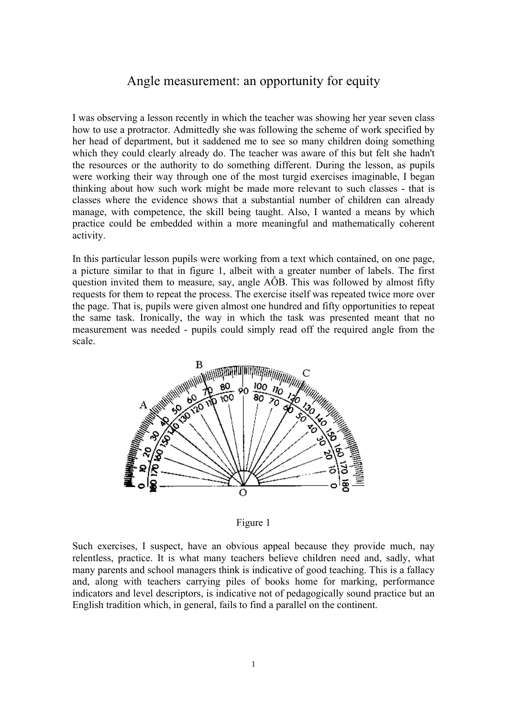## Angle measurement: an opportunity for equity

I was observing a lesson recently in which the teacher was showing her year seven class how to use a protractor. Admittedly she was following the scheme of work specified by her head of department, but it saddened me to see so many children doing something which they could clearly already do. The teacher was aware of this but felt she hadn't the resources or the authority to do something different. During the lesson, as pupils were working their way through one of the most turgid exercises imaginable, I began thinking about how such work might be made more relevant to such classes - that is classes where the evidence shows that a substantial number of children can already manage, with competence, the skill being taught. Also, I wanted a means by which practice could be embedded within a more meaningful and mathematically coherent activity.

In this particular lesson pupils were working from a text which contained, on one page, a picture similar to that in figure 1, albeit with a greater number of labels. The first question invited them to measure, say, angle AÔB. This was followed by almost fifty requests for them to repeat the process. The exercise itself was repeated twice more over the page. That is, pupils were given almost one hundred and fifty opportunities to repeat the same task. Ironically, the way in which the task was presented meant that no measurement was needed - pupils could simply read off the required angle from the scale.



Figure 1

Such exercises, I suspect, have an obvious appeal because they provide much, nay relentless, practice. It is what many teachers believe children need and, sadly, what many parents and school managers think is indicative of good teaching. This is a fallacy and, along with teachers carrying piles of books home for marking, performance indicators and level descriptors, is indicative not of pedagogically sound practice but an English tradition which, in general, fails to find a parallel on the continent.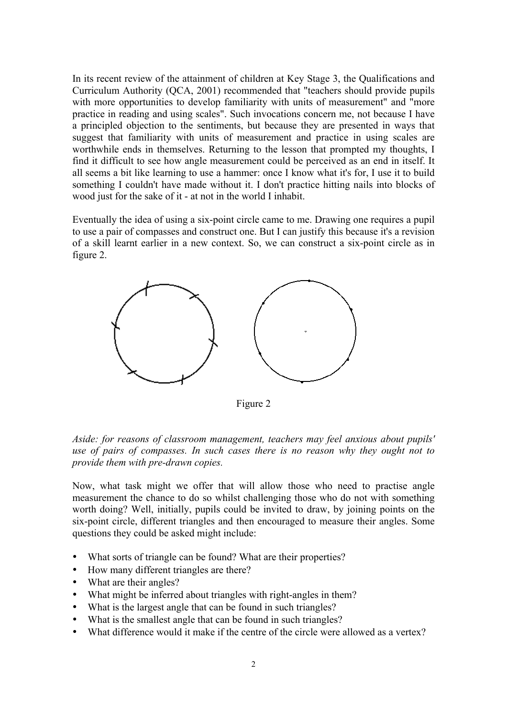In its recent review of the attainment of children at Key Stage 3, the Qualifications and Curriculum Authority (QCA, 2001) recommended that "teachers should provide pupils with more opportunities to develop familiarity with units of measurement" and "more practice in reading and using scales". Such invocations concern me, not because I have a principled objection to the sentiments, but because they are presented in ways that suggest that familiarity with units of measurement and practice in using scales are worthwhile ends in themselves. Returning to the lesson that prompted my thoughts, I find it difficult to see how angle measurement could be perceived as an end in itself. It all seems a bit like learning to use a hammer: once I know what it's for, I use it to build something I couldn't have made without it. I don't practice hitting nails into blocks of wood just for the sake of it - at not in the world I inhabit.

Eventually the idea of using a six-point circle came to me. Drawing one requires a pupil to use a pair of compasses and construct one. But I can justify this because it's a revision of a skill learnt earlier in a new context. So, we can construct a six-point circle as in figure 2.



Figure 2

*Aside: for reasons of classroom management, teachers may feel anxious about pupils' use of pairs of compasses. In such cases there is no reason why they ought not to provide them with pre-drawn copies.*

Now, what task might we offer that will allow those who need to practise angle measurement the chance to do so whilst challenging those who do not with something worth doing? Well, initially, pupils could be invited to draw, by joining points on the six-point circle, different triangles and then encouraged to measure their angles. Some questions they could be asked might include:

- What sorts of triangle can be found? What are their properties?
- How many different triangles are there?
- What are their angles?
- What might be inferred about triangles with right-angles in them?
- What is the largest angle that can be found in such triangles?
- What is the smallest angle that can be found in such triangles?
- What difference would it make if the centre of the circle were allowed as a vertex?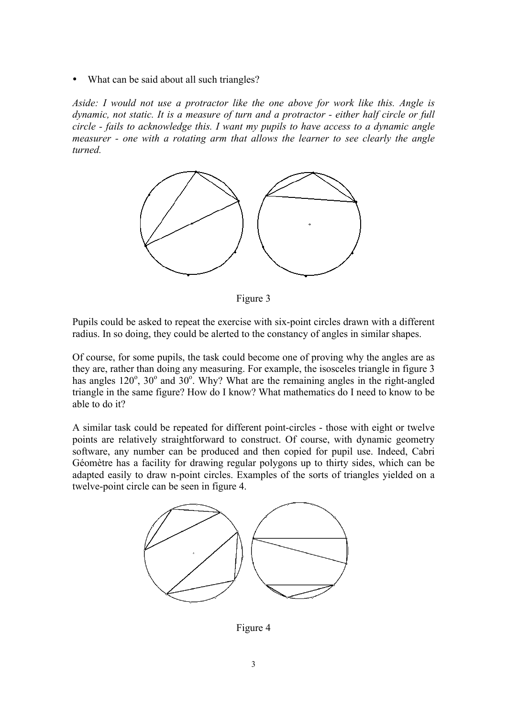What can be said about all such triangles?

*Aside: I would not use a protractor like the one above for work like this. Angle is dynamic, not static. It is a measure of turn and a protractor - either half circle or full circle - fails to acknowledge this. I want my pupils to have access to a dynamic angle measurer - one with a rotating arm that allows the learner to see clearly the angle turned.*



Figure 3

Pupils could be asked to repeat the exercise with six-point circles drawn with a different radius. In so doing, they could be alerted to the constancy of angles in similar shapes.

Of course, for some pupils, the task could become one of proving why the angles are as they are, rather than doing any measuring. For example, the isosceles triangle in figure 3 has angles  $120^\circ$ ,  $30^\circ$  and  $30^\circ$ . Why? What are the remaining angles in the right-angled triangle in the same figure? How do I know? What mathematics do I need to know to be able to do it?

A similar task could be repeated for different point-circles - those with eight or twelve points are relatively straightforward to construct. Of course, with dynamic geometry software, any number can be produced and then copied for pupil use. Indeed, Cabri Géomètre has a facility for drawing regular polygons up to thirty sides, which can be adapted easily to draw n-point circles. Examples of the sorts of triangles yielded on a twelve-point circle can be seen in figure 4.



Figure 4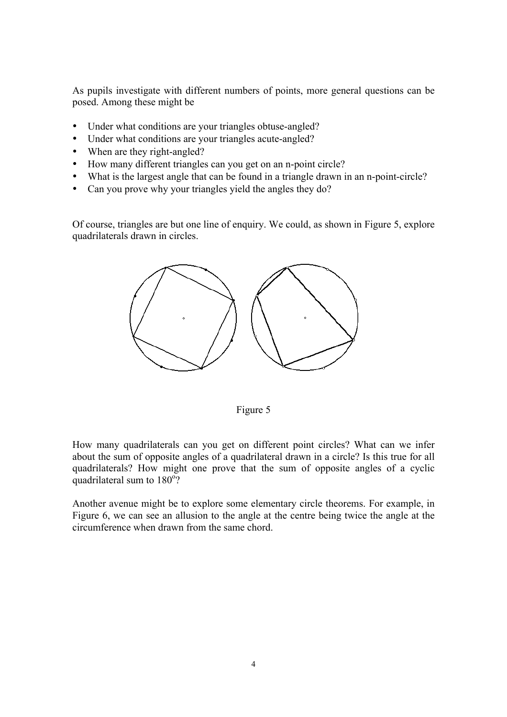As pupils investigate with different numbers of points, more general questions can be posed. Among these might be

- Under what conditions are your triangles obtuse-angled?
- Under what conditions are your triangles acute-angled?
- When are they right-angled?
- How many different triangles can you get on an n-point circle?
- What is the largest angle that can be found in a triangle drawn in an n-point-circle?
- Can you prove why your triangles yield the angles they do?

Of course, triangles are but one line of enquiry. We could, as shown in Figure 5, explore quadrilaterals drawn in circles.



Figure 5

How many quadrilaterals can you get on different point circles? What can we infer about the sum of opposite angles of a quadrilateral drawn in a circle? Is this true for all quadrilaterals? How might one prove that the sum of opposite angles of a cyclic quadrilateral sum to 180°?

Another avenue might be to explore some elementary circle theorems. For example, in Figure 6, we can see an allusion to the angle at the centre being twice the angle at the circumference when drawn from the same chord.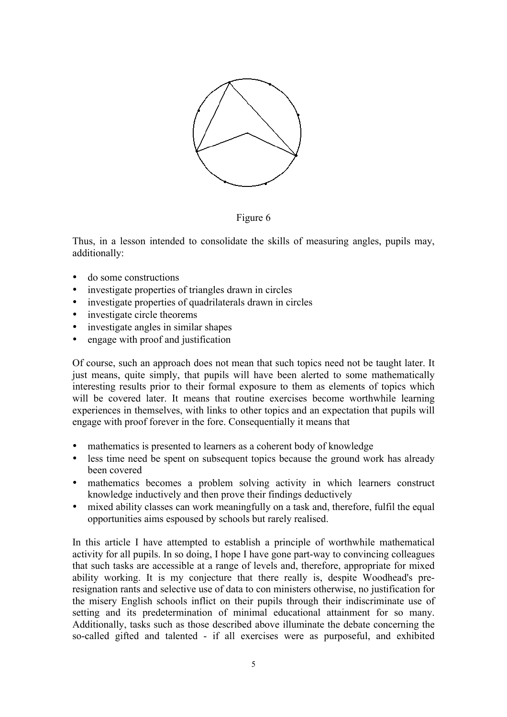

Figure 6

Thus, in a lesson intended to consolidate the skills of measuring angles, pupils may, additionally:

- do some constructions
- investigate properties of triangles drawn in circles
- investigate properties of quadrilaterals drawn in circles
- investigate circle theorems
- investigate angles in similar shapes
- engage with proof and justification

Of course, such an approach does not mean that such topics need not be taught later. It just means, quite simply, that pupils will have been alerted to some mathematically interesting results prior to their formal exposure to them as elements of topics which will be covered later. It means that routine exercises become worthwhile learning experiences in themselves, with links to other topics and an expectation that pupils will engage with proof forever in the fore. Consequentially it means that

- mathematics is presented to learners as a coherent body of knowledge
- less time need be spent on subsequent topics because the ground work has already been covered
- mathematics becomes a problem solving activity in which learners construct knowledge inductively and then prove their findings deductively
- mixed ability classes can work meaningfully on a task and, therefore, fulfil the equal opportunities aims espoused by schools but rarely realised.

In this article I have attempted to establish a principle of worthwhile mathematical activity for all pupils. In so doing, I hope I have gone part-way to convincing colleagues that such tasks are accessible at a range of levels and, therefore, appropriate for mixed ability working. It is my conjecture that there really is, despite Woodhead's preresignation rants and selective use of data to con ministers otherwise, no justification for the misery English schools inflict on their pupils through their indiscriminate use of setting and its predetermination of minimal educational attainment for so many. Additionally, tasks such as those described above illuminate the debate concerning the so-called gifted and talented - if all exercises were as purposeful, and exhibited